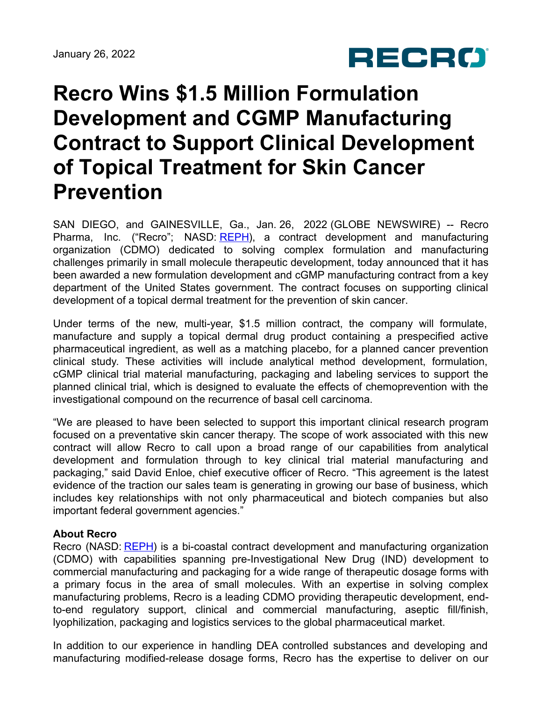## January 26, 2022



## **Recro Wins \$1.5 Million Formulation Development and CGMP Manufacturing Contract to Support Clinical Development of Topical Treatment for Skin Cancer Prevention**

SAN DIEGO, and GAINESVILLE, Ga., Jan. 26, 2022 (GLOBE NEWSWIRE) -- Recro Pharma, Inc. ("Recro"; NASD: [REPH](https://www.globenewswire.com/Tracker?data=GvH8_FjAFgB9V_yAqGZuUGBYLQ-3LX_D4lfIGw6P4X-ONuWJS9eaTjeT_mHBwkq2H0BksRiItWLrllFjizmxk5hg2DAGwmVBP2xkESfeoT8=)), a contract development and manufacturing organization (CDMO) dedicated to solving complex formulation and manufacturing challenges primarily in small molecule therapeutic development, today announced that it has been awarded a new formulation development and cGMP manufacturing contract from a key department of the United States government. The contract focuses on supporting clinical development of a topical dermal treatment for the prevention of skin cancer.

Under terms of the new, multi-year, \$1.5 million contract, the company will formulate, manufacture and supply a topical dermal drug product containing a prespecified active pharmaceutical ingredient, as well as a matching placebo, for a planned cancer prevention clinical study. These activities will include analytical method development, formulation, cGMP clinical trial material manufacturing, packaging and labeling services to support the planned clinical trial, which is designed to evaluate the effects of chemoprevention with the investigational compound on the recurrence of basal cell carcinoma.

"We are pleased to have been selected to support this important clinical research program focused on a preventative skin cancer therapy. The scope of work associated with this new contract will allow Recro to call upon a broad range of our capabilities from analytical development and formulation through to key clinical trial material manufacturing and packaging," said David Enloe, chief executive officer of Recro. "This agreement is the latest evidence of the traction our sales team is generating in growing our base of business, which includes key relationships with not only pharmaceutical and biotech companies but also important federal government agencies."

## **About Recro**

Recro (NASD: [REPH](https://www.globenewswire.com/Tracker?data=oke10QhDztJ6NSn47AlsPluFjVyIOqhSyCiSIzX5B_uLg351YQGzt7Bg1d9iKmst9fp_R-fH2VQnR_eOfkCpafRd81vAU-zV_RhYsksnOLE=)) is a bi-coastal contract development and manufacturing organization (CDMO) with capabilities spanning pre-Investigational New Drug (IND) development to commercial manufacturing and packaging for a wide range of therapeutic dosage forms with a primary focus in the area of small molecules. With an expertise in solving complex manufacturing problems, Recro is a leading CDMO providing therapeutic development, endto-end regulatory support, clinical and commercial manufacturing, aseptic fill/finish, lyophilization, packaging and logistics services to the global pharmaceutical market.

In addition to our experience in handling DEA controlled substances and developing and manufacturing modified-release dosage forms, Recro has the expertise to deliver on our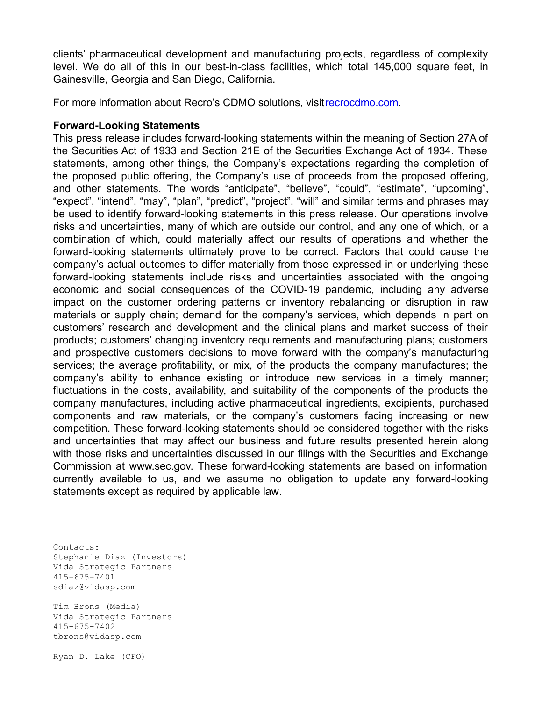clients' pharmaceutical development and manufacturing projects, regardless of complexity level. We do all of this in our best-in-class facilities, which total 145,000 square feet, in Gainesville, Georgia and San Diego, California.

For more information about Recro's CDMO solutions, visit[recrocdmo.com](https://www.globenewswire.com/Tracker?data=0dvUXMAkZ6g8OcgJBV693v5Mb3b78qc1SmjFWe1zYJgp15vdGTOzYookDFpJHP2FK1_l7R5w_ME_KnZkiYVl-Bcqo6vXpW_7I0vAxKmzJeI=).

## **Forward-Looking Statements**

This press release includes forward-looking statements within the meaning of Section 27A of the Securities Act of 1933 and Section 21E of the Securities Exchange Act of 1934. These statements, among other things, the Company's expectations regarding the completion of the proposed public offering, the Company's use of proceeds from the proposed offering, and other statements. The words "anticipate", "believe", "could", "estimate", "upcoming", "expect", "intend", "may", "plan", "predict", "project", "will" and similar terms and phrases may be used to identify forward-looking statements in this press release. Our operations involve risks and uncertainties, many of which are outside our control, and any one of which, or a combination of which, could materially affect our results of operations and whether the forward-looking statements ultimately prove to be correct. Factors that could cause the company's actual outcomes to differ materially from those expressed in or underlying these forward-looking statements include risks and uncertainties associated with the ongoing economic and social consequences of the COVID-19 pandemic, including any adverse impact on the customer ordering patterns or inventory rebalancing or disruption in raw materials or supply chain; demand for the company's services, which depends in part on customers' research and development and the clinical plans and market success of their products; customers' changing inventory requirements and manufacturing plans; customers and prospective customers decisions to move forward with the company's manufacturing services; the average profitability, or mix, of the products the company manufactures; the company's ability to enhance existing or introduce new services in a timely manner; fluctuations in the costs, availability, and suitability of the components of the products the company manufactures, including active pharmaceutical ingredients, excipients, purchased components and raw materials, or the company's customers facing increasing or new competition. These forward-looking statements should be considered together with the risks and uncertainties that may affect our business and future results presented herein along with those risks and uncertainties discussed in our filings with the Securities and Exchange Commission at www.sec.gov. These forward-looking statements are based on information currently available to us, and we assume no obligation to update any forward-looking statements except as required by applicable law.

Contacts: Stephanie Diaz (Investors) Vida Strategic Partners 415-675-7401 sdiaz@vidasp.com Tim Brons (Media) Vida Strategic Partners 415-675-7402 tbrons@vidasp.com Ryan D. Lake (CFO)